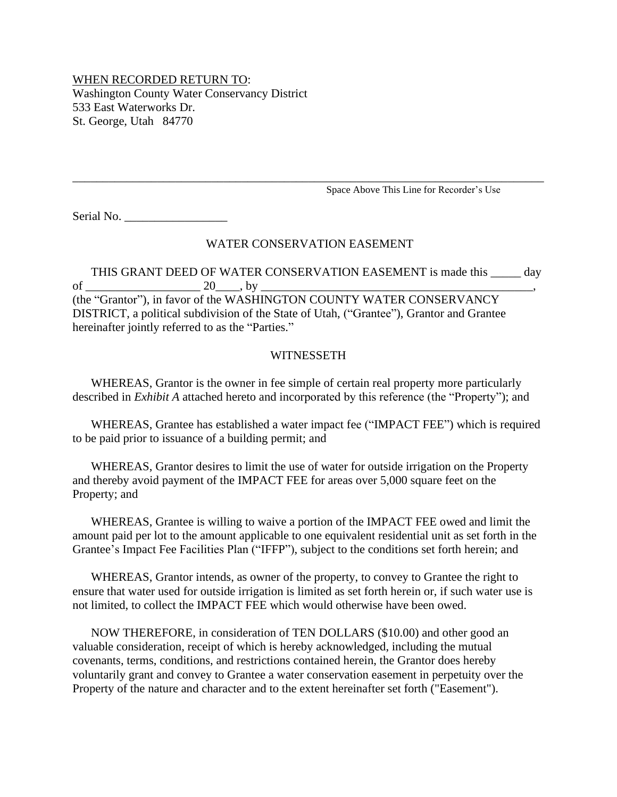## WHEN RECORDED RETURN TO: Washington County Water Conservancy District 533 East Waterworks Dr. St. George, Utah 84770

Space Above This Line for Recorder's Use

Serial No.

#### WATER CONSERVATION EASEMENT

\_\_\_\_\_\_\_\_\_\_\_\_\_\_\_\_\_\_\_\_\_\_\_\_\_\_\_\_\_\_\_\_\_\_\_\_\_\_\_\_\_\_\_\_\_\_\_\_\_\_\_\_\_\_\_\_\_\_\_\_\_\_\_\_\_\_\_\_\_\_\_\_\_\_\_\_\_\_

THIS GRANT DEED OF WATER CONSERVATION EASEMENT is made this \_\_\_\_\_ day of \_\_\_\_\_\_\_\_\_\_\_\_\_\_\_\_\_\_\_ 20\_\_\_\_, by \_\_\_\_\_\_\_\_\_\_\_\_\_\_\_\_\_\_\_\_\_\_\_\_\_\_\_\_\_\_\_\_\_\_\_\_\_\_\_\_\_\_\_\_\_, (the "Grantor"), in favor of the WASHINGTON COUNTY WATER CONSERVANCY DISTRICT, a political subdivision of the State of Utah, ("Grantee"), Grantor and Grantee hereinafter jointly referred to as the "Parties."

#### WITNESSETH

WHEREAS, Grantor is the owner in fee simple of certain real property more particularly described in *Exhibit A* attached hereto and incorporated by this reference (the "Property"); and

WHEREAS, Grantee has established a water impact fee ("IMPACT FEE") which is required to be paid prior to issuance of a building permit; and

WHEREAS, Grantor desires to limit the use of water for outside irrigation on the Property and thereby avoid payment of the IMPACT FEE for areas over 5,000 square feet on the Property; and

WHEREAS, Grantee is willing to waive a portion of the IMPACT FEE owed and limit the amount paid per lot to the amount applicable to one equivalent residential unit as set forth in the Grantee's Impact Fee Facilities Plan ("IFFP"), subject to the conditions set forth herein; and

WHEREAS, Grantor intends, as owner of the property, to convey to Grantee the right to ensure that water used for outside irrigation is limited as set forth herein or, if such water use is not limited, to collect the IMPACT FEE which would otherwise have been owed.

NOW THEREFORE, in consideration of TEN DOLLARS (\$10.00) and other good an valuable consideration, receipt of which is hereby acknowledged, including the mutual covenants, terms, conditions, and restrictions contained herein, the Grantor does hereby voluntarily grant and convey to Grantee a water conservation easement in perpetuity over the Property of the nature and character and to the extent hereinafter set forth ("Easement").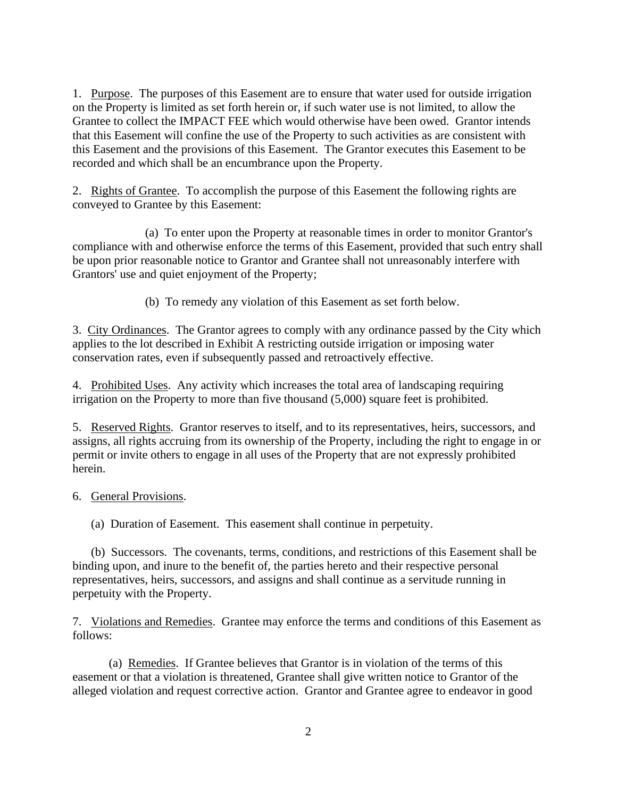1. Purpose. The purposes of this Easement are to ensure that water used for outside irrigation on the Property is limited as set forth herein or, if such water use is not limited, to allow the Grantee to collect the IMPACT FEE which would otherwise have been owed. Grantor intends that this Easement will confine the use of the Property to such activities as are consistent with this Easement and the provisions of this Easement. The Grantor executes this Easement to be recorded and which shall be an encumbrance upon the Property.

2. Rights of Grantee. To accomplish the purpose of this Easement the following rights are conveyed to Grantee by this Easement:

(a) To enter upon the Property at reasonable times in order to monitor Grantor's compliance with and otherwise enforce the terms of this Easement, provided that such entry shall be upon prior reasonable notice to Grantor and Grantee shall not unreasonably interfere with Grantors' use and quiet enjoyment of the Property;

(b) To remedy any violation of this Easement as set forth below.

3. City Ordinances. The Grantor agrees to comply with any ordinance passed by the City which applies to the lot described in Exhibit A restricting outside irrigation or imposing water conservation rates, even if subsequently passed and retroactively effective.

4. Prohibited Uses. Any activity which increases the total area of landscaping requiring irrigation on the Property to more than five thousand (5,000) square feet is prohibited.

5. Reserved Rights. Grantor reserves to itself, and to its representatives, heirs, successors, and assigns, all rights accruing from its ownership of the Property, including the right to engage in or permit or invite others to engage in all uses of the Property that are not expressly prohibited herein.

### 6. General Provisions.

(a) Duration of Easement. This easement shall continue in perpetuity.

(b) Successors. The covenants, terms, conditions, and restrictions of this Easement shall be binding upon, and inure to the benefit of, the parties hereto and their respective personal representatives, heirs, successors, and assigns and shall continue as a servitude running in perpetuity with the Property.

7. Violations and Remedies. Grantee may enforce the terms and conditions of this Easement as follows:

(a) Remedies. If Grantee believes that Grantor is in violation of the terms of this easement or that a violation is threatened, Grantee shall give written notice to Grantor of the alleged violation and request corrective action. Grantor and Grantee agree to endeavor in good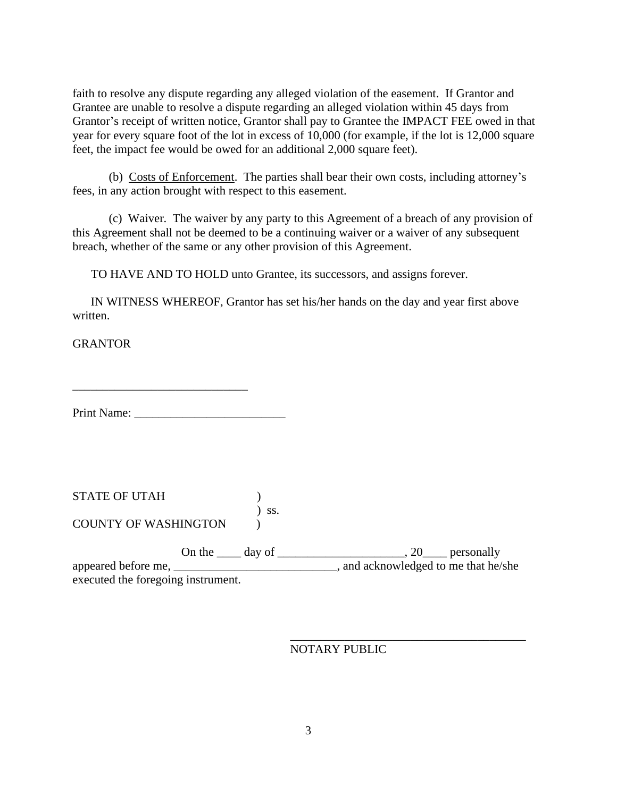faith to resolve any dispute regarding any alleged violation of the easement. If Grantor and Grantee are unable to resolve a dispute regarding an alleged violation within 45 days from Grantor's receipt of written notice, Grantor shall pay to Grantee the IMPACT FEE owed in that year for every square foot of the lot in excess of 10,000 (for example, if the lot is 12,000 square feet, the impact fee would be owed for an additional 2,000 square feet).

(b) Costs of Enforcement. The parties shall bear their own costs, including attorney's fees, in any action brought with respect to this easement.

(c) Waiver. The waiver by any party to this Agreement of a breach of any provision of this Agreement shall not be deemed to be a continuing waiver or a waiver of any subsequent breach, whether of the same or any other provision of this Agreement.

TO HAVE AND TO HOLD unto Grantee, its successors, and assigns forever.

IN WITNESS WHEREOF, Grantor has set his/her hands on the day and year first above written.

**GRANTOR** 

Print Name: \_\_\_\_\_\_\_\_\_\_\_\_\_\_\_\_\_\_\_\_\_\_\_\_\_

 $\overline{\phantom{a}}$  , which is a set of the set of the set of the set of the set of the set of the set of the set of the set of the set of the set of the set of the set of the set of the set of the set of the set of the set of th

STATE OF UTAH ) ) ss. COUNTY OF WASHINGTON )

On the <u>\_\_\_\_</u> day of \_\_\_\_\_\_\_\_\_\_\_\_\_\_\_\_\_\_\_\_\_\_\_\_, 20\_\_\_\_\_ personally appeared before me,  $\blacksquare$  and acknowledged to me that he/she executed the foregoing instrument.

NOTARY PUBLIC

\_\_\_\_\_\_\_\_\_\_\_\_\_\_\_\_\_\_\_\_\_\_\_\_\_\_\_\_\_\_\_\_\_\_\_\_\_\_\_